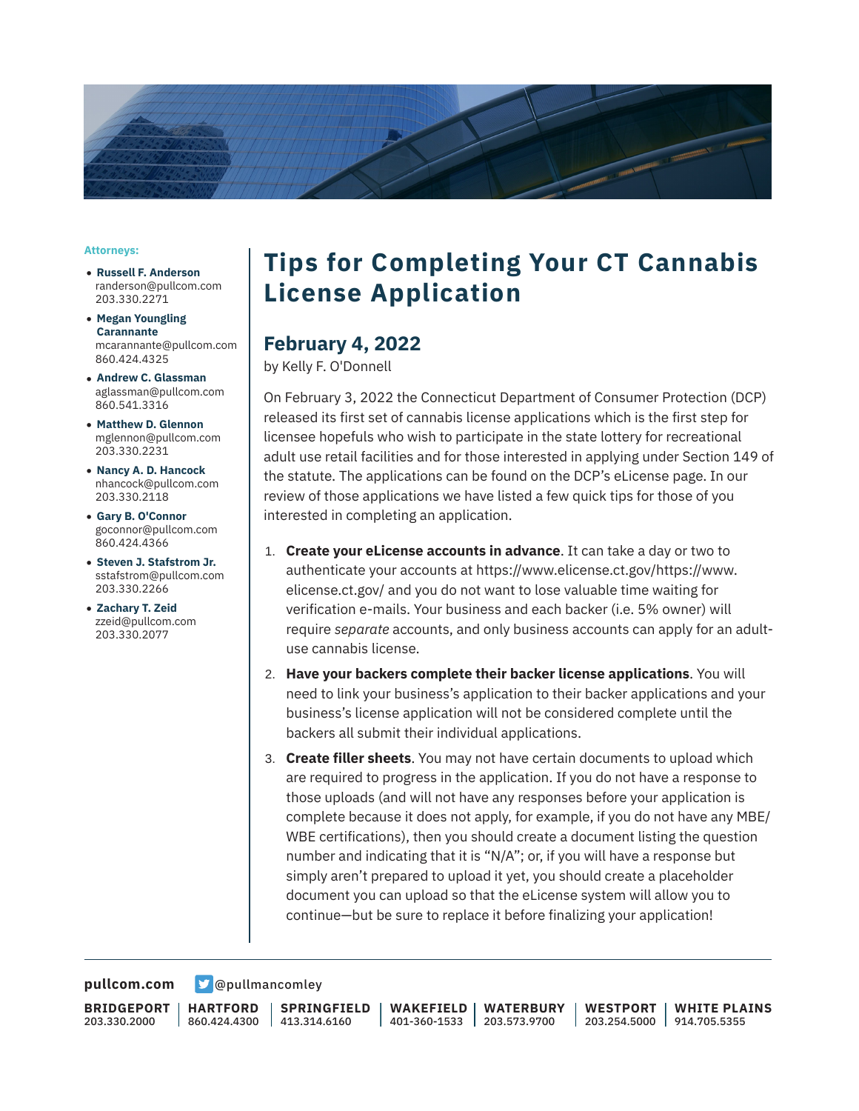

#### **Attorneys:**

- **Russell F. Anderson** randerson@pullcom.com 203.330.2271
- **Megan Youngling Carannante** mcarannante@pullcom.com 860.424.4325
- **Andrew C. Glassman** aglassman@pullcom.com 860.541.3316
- **Matthew D. Glennon** mglennon@pullcom.com 203.330.2231
- **Nancy A. D. Hancock** nhancock@pullcom.com 203.330.2118
- **Gary B. O'Connor** goconnor@pullcom.com 860.424.4366
- **Steven J. Stafstrom Jr.** sstafstrom@pullcom.com 203.330.2266
- **Zachary T. Zeid** zzeid@pullcom.com 203.330.2077

## **Tips for Completing Your CT Cannabis License Application**

### **February 4, 2022**

by Kelly F. O'Donnell

On February 3, 2022 the Connecticut Department of Consumer Protection (DCP) released its first set of cannabis license applications which is the first step for licensee hopefuls who wish to participate in the state lottery for recreational adult use retail facilities and for those interested in applying under Section 149 of the statute. The applications can be found on the DCP's eLicense page. In our review of those applications we have listed a few quick tips for those of you interested in completing an application.

- 1. **Create your eLicense accounts in advance**. It can take a day or two to authenticate your accounts at https://www.elicense.ct.gov/https://www. elicense.ct.gov/ and you do not want to lose valuable time waiting for verification e-mails. Your business and each backer (i.e. 5% owner) will require *separate* accounts, and only business accounts can apply for an adultuse cannabis license.
- 2. **Have your backers complete their backer license applications**. You will need to link your business's application to their backer applications and your business's license application will not be considered complete until the backers all submit their individual applications.
- 3. **Create filler sheets**. You may not have certain documents to upload which are required to progress in the application. If you do not have a response to those uploads (and will not have any responses before your application is complete because it does not apply, for example, if you do not have any MBE/ WBE certifications), then you should create a document listing the question number and indicating that it is "N/A"; or, if you will have a response but simply aren't prepared to upload it yet, you should create a placeholder document you can upload so that the eLicense system will allow you to continue—but be sure to replace it before finalizing your application!

**[pullcom.com](https://www.pullcom.com) g** [@pullmancomley](https://twitter.com/PullmanComley)

**BRIDGEPORT** 203.330.2000

**HARTFORD** 860.424.4300

**SPRINGFIELD** 413.314.6160

**WAKEFIELD** 401-360-1533 203.573.9700 **WATERBURY**

**WESTPORT** 203.254.5000 914.705.5355 **WHITE PLAINS**